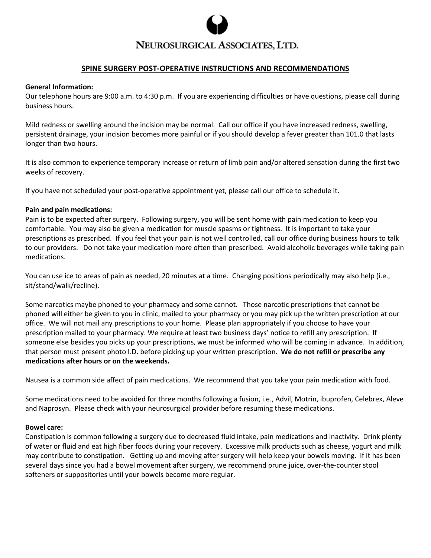

# NEUROSURGICAL ASSOCIATES, LTD.

#### **SPINE SURGERY POST-OPERATIVE INSTRUCTIONS AND RECOMMENDATIONS**

#### **General Information:**

Our telephone hours are 9:00 a.m. to 4:30 p.m. If you are experiencing difficulties or have questions, please call during business hours.

Mild redness or swelling around the incision may be normal. Call our office if you have increased redness, swelling, persistent drainage, your incision becomes more painful or if you should develop a fever greater than 101.0 that lasts longer than two hours.

It is also common to experience temporary increase or return of limb pain and/or altered sensation during the first two weeks of recovery.

If you have not scheduled your post-operative appointment yet, please call our office to schedule it.

#### **Pain and pain medications:**

Pain is to be expected after surgery. Following surgery, you will be sent home with pain medication to keep you comfortable. You may also be given a medication for muscle spasms or tightness. It is important to take your prescriptions as prescribed. If you feel that your pain is not well controlled, call our office during business hours to talk to our providers. Do not take your medication more often than prescribed. Avoid alcoholic beverages while taking pain medications.

You can use ice to areas of pain as needed, 20 minutes at a time. Changing positions periodically may also help (i.e., sit/stand/walk/recline).

Some narcotics maybe phoned to your pharmacy and some cannot. Those narcotic prescriptions that cannot be phoned will either be given to you in clinic, mailed to your pharmacy or you may pick up the written prescription at our office. We will not mail any prescriptions to your home. Please plan appropriately if you choose to have your prescription mailed to your pharmacy. We require at least two business days' notice to refill any prescription. If someone else besides you picks up your prescriptions, we must be informed who will be coming in advance. In addition, that person must present photo I.D. before picking up your written prescription. **We do not refill or prescribe any medications after hours or on the weekends.** 

Nausea is a common side affect of pain medications. We recommend that you take your pain medication with food.

Some medications need to be avoided for three months following a fusion, i.e., Advil, Motrin, ibuprofen, Celebrex, Aleve and Naprosyn. Please check with your neurosurgical provider before resuming these medications.

#### **Bowel care:**

Constipation is common following a surgery due to decreased fluid intake, pain medications and inactivity. Drink plenty of water or fluid and eat high fiber foods during your recovery. Excessive milk products such as cheese, yogurt and milk may contribute to constipation. Getting up and moving after surgery will help keep your bowels moving. If it has been several days since you had a bowel movement after surgery, we recommend prune juice, over-the-counter stool softeners or suppositories until your bowels become more regular.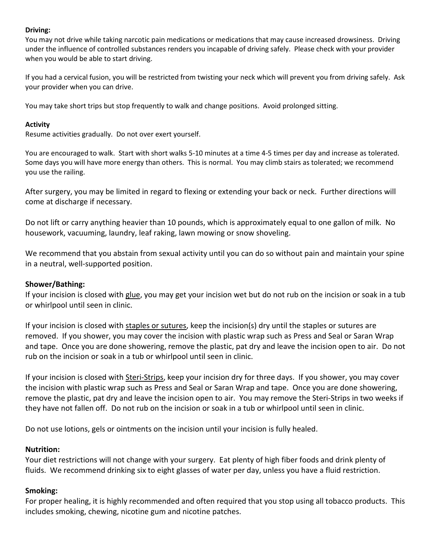### **Driving:**

You may not drive while taking narcotic pain medications or medications that may cause increased drowsiness. Driving under the influence of controlled substances renders you incapable of driving safely. Please check with your provider when you would be able to start driving.

If you had a cervical fusion, you will be restricted from twisting your neck which will prevent you from driving safely. Ask your provider when you can drive.

You may take short trips but stop frequently to walk and change positions. Avoid prolonged sitting.

### **Activity**

Resume activities gradually. Do not over exert yourself.

You are encouraged to walk. Start with short walks 5-10 minutes at a time 4-5 times per day and increase as tolerated. Some days you will have more energy than others. This is normal. You may climb stairs as tolerated; we recommend you use the railing.

After surgery, you may be limited in regard to flexing or extending your back or neck. Further directions will come at discharge if necessary.

Do not lift or carry anything heavier than 10 pounds, which is approximately equal to one gallon of milk. No housework, vacuuming, laundry, leaf raking, lawn mowing or snow shoveling.

We recommend that you abstain from sexual activity until you can do so without pain and maintain your spine in a neutral, well-supported position.

## **Shower/Bathing:**

If your incision is closed with glue, you may get your incision wet but do not rub on the incision or soak in a tub or whirlpool until seen in clinic.

If your incision is closed with staples or sutures, keep the incision(s) dry until the staples or sutures are removed. If you shower, you may cover the incision with plastic wrap such as Press and Seal or Saran Wrap and tape. Once you are done showering, remove the plastic, pat dry and leave the incision open to air. Do not rub on the incision or soak in a tub or whirlpool until seen in clinic.

If your incision is closed with Steri-Strips, keep your incision dry for three days. If you shower, you may cover the incision with plastic wrap such as Press and Seal or Saran Wrap and tape. Once you are done showering, remove the plastic, pat dry and leave the incision open to air. You may remove the Steri-Strips in two weeks if they have not fallen off. Do not rub on the incision or soak in a tub or whirlpool until seen in clinic.

Do not use lotions, gels or ointments on the incision until your incision is fully healed.

## **Nutrition:**

Your diet restrictions will not change with your surgery. Eat plenty of high fiber foods and drink plenty of fluids. We recommend drinking six to eight glasses of water per day, unless you have a fluid restriction.

## **Smoking:**

For proper healing, it is highly recommended and often required that you stop using all tobacco products. This includes smoking, chewing, nicotine gum and nicotine patches.